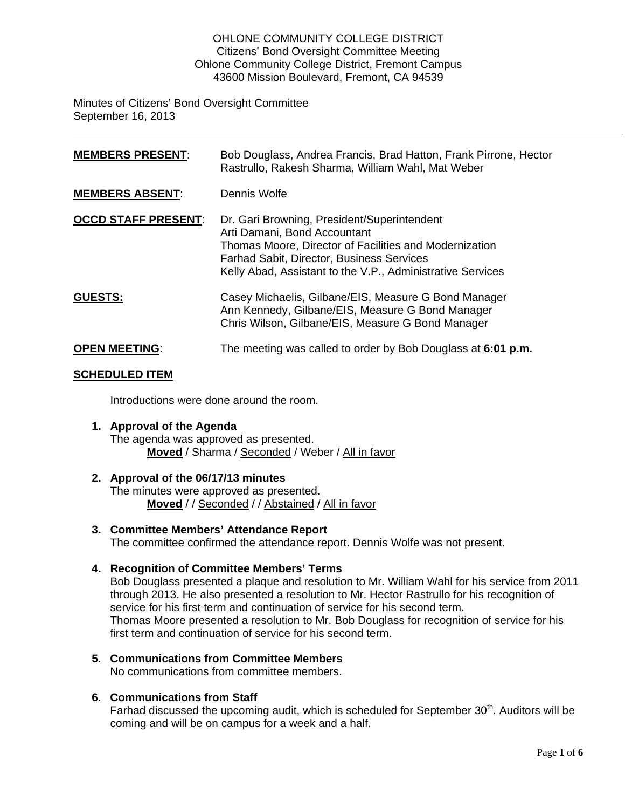#### OHLONE COMMUNITY COLLEGE DISTRICT Citizens' Bond Oversight Committee Meeting Ohlone Community College District, Fremont Campus 43600 Mission Boulevard, Fremont, CA 94539

Minutes of Citizens' Bond Oversight Committee September 16, 2013

| <b>MEMBERS PRESENT:</b>    | Bob Douglass, Andrea Francis, Brad Hatton, Frank Pirrone, Hector<br>Rastrullo, Rakesh Sharma, William Wahl, Mat Weber                                                                                                                                   |
|----------------------------|---------------------------------------------------------------------------------------------------------------------------------------------------------------------------------------------------------------------------------------------------------|
| <b>MEMBERS ABSENT:</b>     | Dennis Wolfe                                                                                                                                                                                                                                            |
| <b>OCCD STAFF PRESENT:</b> | Dr. Gari Browning, President/Superintendent<br>Arti Damani, Bond Accountant<br>Thomas Moore, Director of Facilities and Modernization<br><b>Farhad Sabit, Director, Business Services</b><br>Kelly Abad, Assistant to the V.P., Administrative Services |
| <b>GUESTS:</b>             | Casey Michaelis, Gilbane/EIS, Measure G Bond Manager<br>Ann Kennedy, Gilbane/EIS, Measure G Bond Manager<br>Chris Wilson, Gilbane/EIS, Measure G Bond Manager                                                                                           |
| <b>OPEN MEETING:</b>       | The meeting was called to order by Bob Douglass at 6:01 p.m.                                                                                                                                                                                            |

#### **SCHEDULED ITEM**

Introductions were done around the room.

**1. Approval of the Agenda** The agenda was approved as presented. **Moved** / Sharma / Seconded / Weber / All in favor

#### **2. Approval of the 06/17/13 minutes**

The minutes were approved as presented. **Moved** / / Seconded / / Abstained / All in favor

- **3. Committee Members' Attendance Report** The committee confirmed the attendance report. Dennis Wolfe was not present.
- **4. Recognition of Committee Members' Terms**

Bob Douglass presented a plaque and resolution to Mr. William Wahl for his service from 2011 through 2013. He also presented a resolution to Mr. Hector Rastrullo for his recognition of service for his first term and continuation of service for his second term. Thomas Moore presented a resolution to Mr. Bob Douglass for recognition of service for his first term and continuation of service for his second term.

**5. Communications from Committee Members** No communications from committee members.

# **6. Communications from Staff**

Farhad discussed the upcoming audit, which is scheduled for September  $30<sup>th</sup>$ . Auditors will be coming and will be on campus for a week and a half.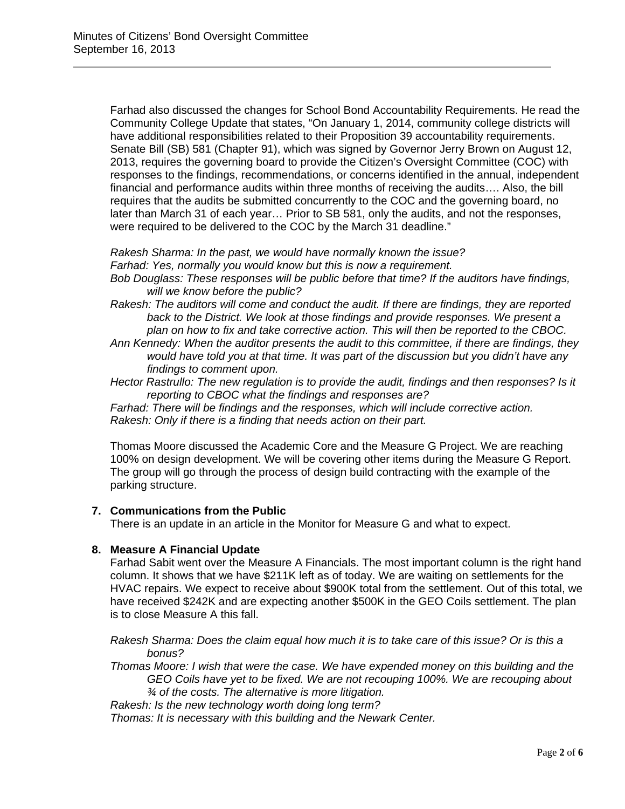Farhad also discussed the changes for School Bond Accountability Requirements. He read the Community College Update that states, "On January 1, 2014, community college districts will have additional responsibilities related to their Proposition 39 accountability requirements. Senate Bill (SB) 581 (Chapter 91), which was signed by Governor Jerry Brown on August 12, 2013, requires the governing board to provide the Citizen's Oversight Committee (COC) with responses to the findings, recommendations, or concerns identified in the annual, independent financial and performance audits within three months of receiving the audits…. Also, the bill requires that the audits be submitted concurrently to the COC and the governing board, no later than March 31 of each year… Prior to SB 581, only the audits, and not the responses, were required to be delivered to the COC by the March 31 deadline."

*Rakesh Sharma: In the past, we would have normally known the issue? Farhad: Yes, normally you would know but this is now a requirement.* 

*Bob Douglass: These responses will be public before that time? If the auditors have findings, will we know before the public?* 

*Rakesh: The auditors will come and conduct the audit. If there are findings, they are reported*  back to the District. We look at those findings and provide responses. We present a *plan on how to fix and take corrective action. This will then be reported to the CBOC.* 

*Ann Kennedy: When the auditor presents the audit to this committee, if there are findings, they would have told you at that time. It was part of the discussion but you didn't have any findings to comment upon.* 

*Hector Rastrullo: The new regulation is to provide the audit, findings and then responses? Is it reporting to CBOC what the findings and responses are?* 

*Farhad: There will be findings and the responses, which will include corrective action. Rakesh: Only if there is a finding that needs action on their part.* 

Thomas Moore discussed the Academic Core and the Measure G Project. We are reaching 100% on design development. We will be covering other items during the Measure G Report. The group will go through the process of design build contracting with the example of the parking structure.

# **7. Communications from the Public**

There is an update in an article in the Monitor for Measure G and what to expect.

# **8. Measure A Financial Update**

Farhad Sabit went over the Measure A Financials. The most important column is the right hand column. It shows that we have \$211K left as of today. We are waiting on settlements for the HVAC repairs. We expect to receive about \$900K total from the settlement. Out of this total, we have received \$242K and are expecting another \$500K in the GEO Coils settlement. The plan is to close Measure A this fall.

*Rakesh Sharma: Does the claim equal how much it is to take care of this issue? Or is this a bonus?* 

*Thomas Moore: I wish that were the case. We have expended money on this building and the GEO Coils have yet to be fixed. We are not recouping 100%. We are recouping about ¾ of the costs. The alternative is more litigation.* 

*Rakesh: Is the new technology worth doing long term?*

*Thomas: It is necessary with this building and the Newark Center.*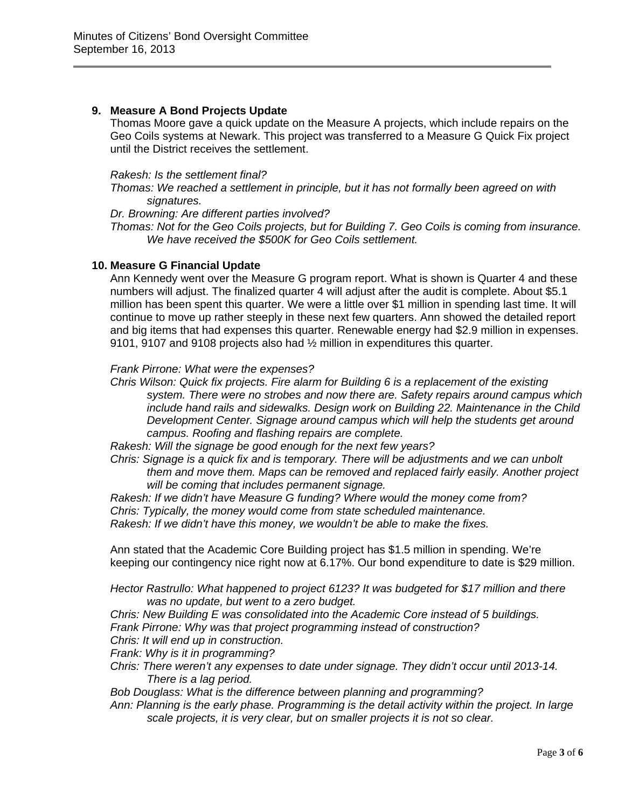# **9. Measure A Bond Projects Update**

Thomas Moore gave a quick update on the Measure A projects, which include repairs on the Geo Coils systems at Newark. This project was transferred to a Measure G Quick Fix project until the District receives the settlement.

#### *Rakesh: Is the settlement final?*

*Thomas: We reached a settlement in principle, but it has not formally been agreed on with signatures.* 

*Dr. Browning: Are different parties involved?* 

*Thomas: Not for the Geo Coils projects, but for Building 7. Geo Coils is coming from insurance. We have received the \$500K for Geo Coils settlement.* 

# **10. Measure G Financial Update**

Ann Kennedy went over the Measure G program report. What is shown is Quarter 4 and these numbers will adjust. The finalized quarter 4 will adjust after the audit is complete. About \$5.1 million has been spent this quarter. We were a little over \$1 million in spending last time. It will continue to move up rather steeply in these next few quarters. Ann showed the detailed report and big items that had expenses this quarter. Renewable energy had \$2.9 million in expenses. 9101, 9107 and 9108 projects also had ½ million in expenditures this quarter.

#### *Frank Pirrone: What were the expenses?*

*Chris Wilson: Quick fix projects. Fire alarm for Building 6 is a replacement of the existing system. There were no strobes and now there are. Safety repairs around campus which include hand rails and sidewalks. Design work on Building 22. Maintenance in the Child Development Center. Signage around campus which will help the students get around campus. Roofing and flashing repairs are complete.* 

*Rakesh: Will the signage be good enough for the next few years?* 

*Chris: Signage is a quick fix and is temporary. There will be adjustments and we can unbolt them and move them. Maps can be removed and replaced fairly easily. Another project will be coming that includes permanent signage.* 

*Rakesh: If we didn't have Measure G funding? Where would the money come from? Chris: Typically, the money would come from state scheduled maintenance. Rakesh: If we didn't have this money, we wouldn't be able to make the fixes.* 

Ann stated that the Academic Core Building project has \$1.5 million in spending. We're keeping our contingency nice right now at 6.17%. Our bond expenditure to date is \$29 million.

*Hector Rastrullo: What happened to project 6123? It was budgeted for \$17 million and there was no update, but went to a zero budget.* 

*Chris: New Building E was consolidated into the Academic Core instead of 5 buildings.* 

*Frank Pirrone: Why was that project programming instead of construction?*

*Chris: It will end up in construction.* 

*Frank: Why is it in programming?* 

*Chris: There weren't any expenses to date under signage. They didn't occur until 2013-14. There is a lag period.* 

*Bob Douglass: What is the difference between planning and programming?* 

*Ann: Planning is the early phase. Programming is the detail activity within the project. In large scale projects, it is very clear, but on smaller projects it is not so clear.*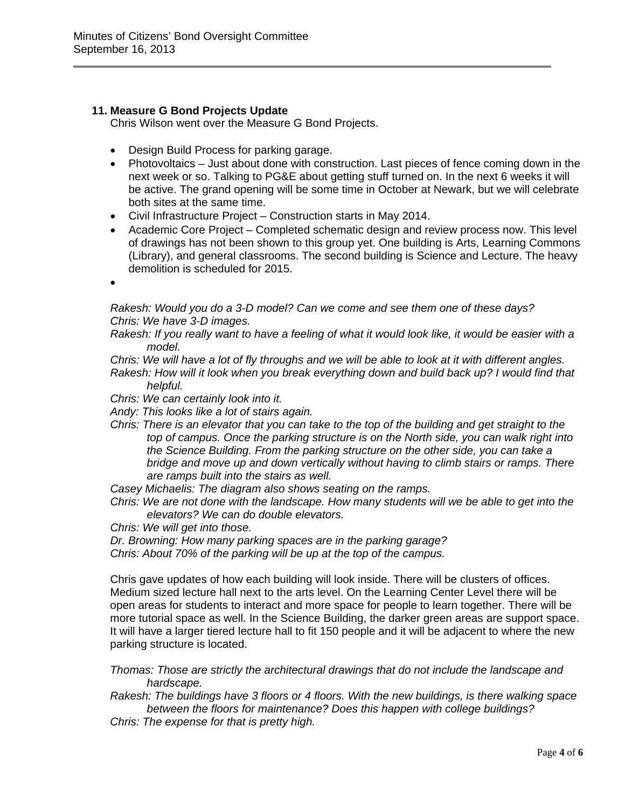# **11. Measure G Bond Projects Update**

Chris Wilson went over the Measure G Bond Projects.

- Design Build Process for parking garage.
- Photovoltaics Just about done with construction. Last pieces of fence coming down in the next week or so. Talking to PG&E about getting stuff turned on. In the next 6 weeks it will be active. The grand opening will be some time in October at Newark, but we will celebrate both sites at the same time.
- Civil Infrastructure Project Construction starts in May 2014.
- Academic Core Project Completed schematic design and review process now. This level of drawings has not been shown to this group yet. One building is Arts, Learning Commons (Library), and general classrooms. The second building is Science and Lecture. The heavy demolition is scheduled for 2015.
- •

*Rakesh: Would you do a 3-D model? Can we come and see them one of these days? Chris: We have 3-D images.* 

*Rakesh: If you really want to have a feeling of what it would look like, it would be easier with a model.* 

*Chris: We will have a lot of fly throughs and we will be able to look at it with different angles.* 

*Rakesh: How will it look when you break everything down and build back up? I would find that helpful.* 

*Chris: We can certainly look into it.* 

- *Andy: This looks like a lot of stairs again.*
- *Chris: There is an elevator that you can take to the top of the building and get straight to the top of campus. Once the parking structure is on the North side, you can walk right into the Science Building. From the parking structure on the other side, you can take a bridge and move up and down vertically without having to climb stairs or ramps. There are ramps built into the stairs as well.*

*Casey Michaelis: The diagram also shows seating on the ramps.* 

*Chris: We are not done with the landscape. How many students will we be able to get into the elevators? We can do double elevators.* 

*Chris: We will get into those.* 

*Dr. Browning: How many parking spaces are in the parking garage?* 

*Chris: About 70% of the parking will be up at the top of the campus.* 

Chris gave updates of how each building will look inside. There will be clusters of offices. Medium sized lecture hall next to the arts level. On the Learning Center Level there will be open areas for students to interact and more space for people to learn together. There will be more tutorial space as well. In the Science Building, the darker green areas are support space. It will have a larger tiered lecture hall to fit 150 people and it will be adjacent to where the new parking structure is located.

*Thomas: Those are strictly the architectural drawings that do not include the landscape and hardscape.* 

*Rakesh: The buildings have 3 floors or 4 floors. With the new buildings, is there walking space between the floors for maintenance? Does this happen with college buildings?* 

*Chris: The expense for that is pretty high.*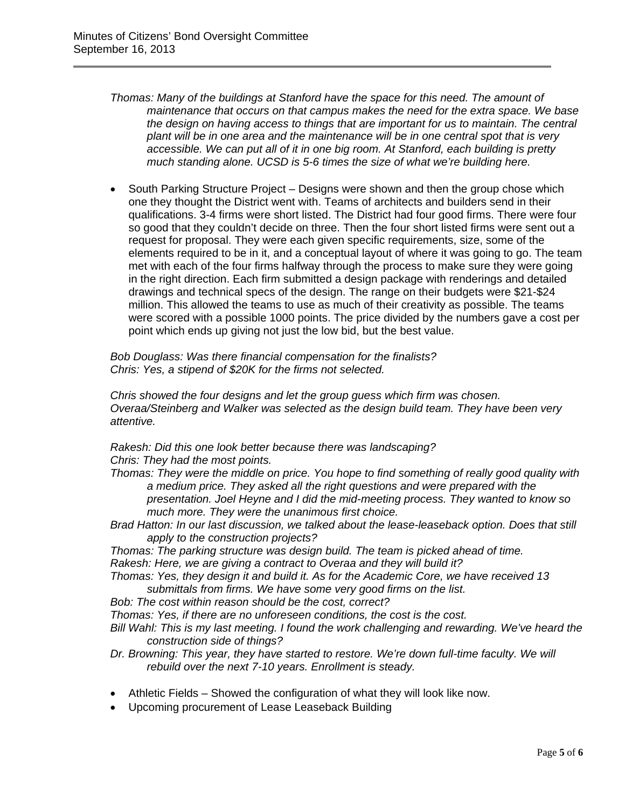*Thomas: Many of the buildings at Stanford have the space for this need. The amount of maintenance that occurs on that campus makes the need for the extra space. We base the design on having access to things that are important for us to maintain. The central plant will be in one area and the maintenance will be in one central spot that is very accessible. We can put all of it in one big room. At Stanford, each building is pretty much standing alone. UCSD is 5-6 times the size of what we're building here.* 

• South Parking Structure Project – Designs were shown and then the group chose which one they thought the District went with. Teams of architects and builders send in their qualifications. 3-4 firms were short listed. The District had four good firms. There were four so good that they couldn't decide on three. Then the four short listed firms were sent out a request for proposal. They were each given specific requirements, size, some of the elements required to be in it, and a conceptual layout of where it was going to go. The team met with each of the four firms halfway through the process to make sure they were going in the right direction. Each firm submitted a design package with renderings and detailed drawings and technical specs of the design. The range on their budgets were \$21-\$24 million. This allowed the teams to use as much of their creativity as possible. The teams were scored with a possible 1000 points. The price divided by the numbers gave a cost per point which ends up giving not just the low bid, but the best value.

*Bob Douglass: Was there financial compensation for the finalists? Chris: Yes, a stipend of \$20K for the firms not selected.* 

*Chris showed the four designs and let the group guess which firm was chosen. Overaa/Steinberg and Walker was selected as the design build team. They have been very attentive.* 

*Rakesh: Did this one look better because there was landscaping? Chris: They had the most points.* 

- *Thomas: They were the middle on price. You hope to find something of really good quality with a medium price. They asked all the right questions and were prepared with the presentation. Joel Heyne and I did the mid-meeting process. They wanted to know so much more. They were the unanimous first choice.*
- *Brad Hatton: In our last discussion, we talked about the lease-leaseback option. Does that still apply to the construction projects?*
- *Thomas: The parking structure was design build. The team is picked ahead of time.*

*Rakesh: Here, we are giving a contract to Overaa and they will build it?* 

- *Thomas: Yes, they design it and build it. As for the Academic Core, we have received 13 submittals from firms. We have some very good firms on the list.*
- *Bob: The cost within reason should be the cost, correct?*

*Thomas: Yes, if there are no unforeseen conditions, the cost is the cost.* 

- *Bill Wahl: This is my last meeting. I found the work challenging and rewarding. We've heard the construction side of things?*
- *Dr. Browning: This year, they have started to restore. We're down full-time faculty. We will rebuild over the next 7-10 years. Enrollment is steady.*
- Athletic Fields Showed the configuration of what they will look like now.
- Upcoming procurement of Lease Leaseback Building